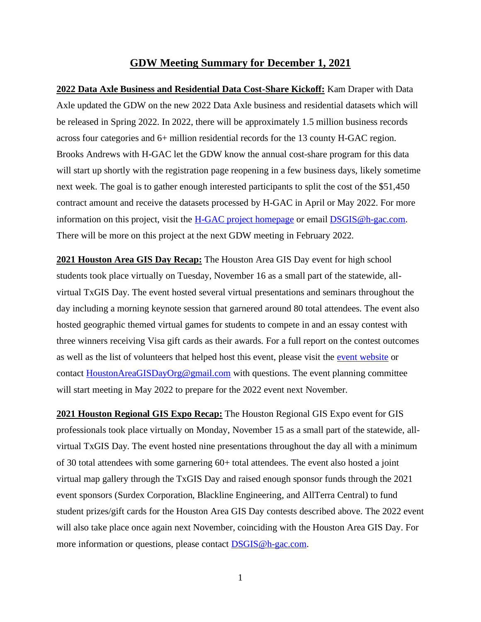## **GDW Meeting Summary for December 1, 2021**

**2022 Data Axle Business and Residential Data Cost-Share Kickoff:** Kam Draper with Data Axle updated the GDW on the new 2022 Data Axle business and residential datasets which will be released in Spring 2022. In 2022, there will be approximately 1.5 million business records across four categories and 6+ million residential records for the 13 county H-GAC region. Brooks Andrews with H-GAC let the GDW know the annual cost-share program for this data will start up shortly with the registration page reopening in a few business days, likely sometime next week. The goal is to gather enough interested participants to split the cost of the \$51,450 contract amount and receive the datasets processed by H-GAC in April or May 2022. For more information on this project, visit the [H-GAC project homepage](https://www.h-gac.com/geographic-data-workgroup/data-axle-cost-share-program) or email [DSGIS@h-gac.com.](mailto:DSGIS@h-gac.com) There will be more on this project at the next GDW meeting in February 2022.

**2021 Houston Area GIS Day Recap:** The Houston Area GIS Day event for high school students took place virtually on Tuesday, November 16 as a small part of the statewide, allvirtual TxGIS Day. The event hosted several virtual presentations and seminars throughout the day including a morning keynote session that garnered around 80 total attendees. The event also hosted geographic themed virtual games for students to compete in and an essay contest with three winners receiving Visa gift cards as their awards. For a full report on the contest outcomes as well as the list of volunteers that helped host this event, please visit the [event website](http://www.houstonareagisday.org/index.html) or contact [HoustonAreaGISDayOrg@gmail.com](mailto:HoustonAreaGISDayOrg@gmail.com) with questions. The event planning committee will start meeting in May 2022 to prepare for the 2022 event next November.

**2021 Houston Regional GIS Expo Recap:** The Houston Regional GIS Expo event for GIS professionals took place virtually on Monday, November 15 as a small part of the statewide, allvirtual TxGIS Day. The event hosted nine presentations throughout the day all with a minimum of 30 total attendees with some garnering 60+ total attendees. The event also hosted a joint virtual map gallery through the TxGIS Day and raised enough sponsor funds through the 2021 event sponsors (Surdex Corporation, Blackline Engineering, and AllTerra Central) to fund student prizes/gift cards for the Houston Area GIS Day contests described above. The 2022 event will also take place once again next November, coinciding with the Houston Area GIS Day. For more information or questions, please contact **DSGIS** @h-gac.com.

1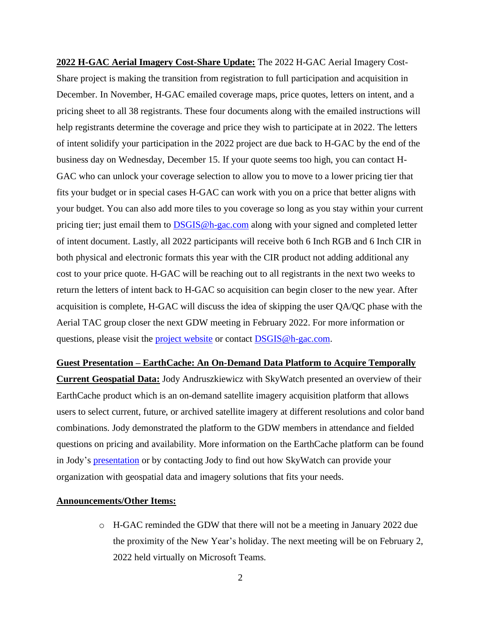**2022 H-GAC Aerial Imagery Cost-Share Update:** The 2022 H-GAC Aerial Imagery Cost-Share project is making the transition from registration to full participation and acquisition in December. In November, H-GAC emailed coverage maps, price quotes, letters on intent, and a pricing sheet to all 38 registrants. These four documents along with the emailed instructions will help registrants determine the coverage and price they wish to participate at in 2022. The letters of intent solidify your participation in the 2022 project are due back to H-GAC by the end of the business day on Wednesday, December 15. If your quote seems too high, you can contact H-GAC who can unlock your coverage selection to allow you to move to a lower pricing tier that fits your budget or in special cases H-GAC can work with you on a price that better aligns with your budget. You can also add more tiles to you coverage so long as you stay within your current pricing tier; just email them to [DSGIS@h-gac.com](mailto:DSGIS@h-gac.com) along with your signed and completed letter of intent document. Lastly, all 2022 participants will receive both 6 Inch RGB and 6 Inch CIR in both physical and electronic formats this year with the CIR product not adding additional any cost to your price quote. H-GAC will be reaching out to all registrants in the next two weeks to return the letters of intent back to H-GAC so acquisition can begin closer to the new year. After acquisition is complete, H-GAC will discuss the idea of skipping the user QA/QC phase with the Aerial TAC group closer the next GDW meeting in February 2022. For more information or questions, please visit the [project website](https://www.h-gac.com/aerial-imagery-cost-share) or contact [DSGIS@h-gac.com.](mailto:DSGIS@h-gac.com)

## **Guest Presentation – EarthCache: An On-Demand Data Platform to Acquire Temporally**

**Current Geospatial Data:** Jody Andruszkiewicz with SkyWatch presented an overview of their EarthCache product which is an on-demand satellite imagery acquisition platform that allows users to select current, future, or archived satellite imagery at different resolutions and color band combinations. Jody demonstrated the platform to the GDW members in attendance and fielded questions on pricing and availability. More information on the EarthCache platform can be found in Jody's [presentation](https://www.h-gac.com/getmedia/03712bce-af43-4443-9617-a7f9312ae620/SkyWatch-Presentation) or by contacting Jody to find out how SkyWatch can provide your organization with geospatial data and imagery solutions that fits your needs.

## **Announcements/Other Items:**

o H-GAC reminded the GDW that there will not be a meeting in January 2022 due the proximity of the New Year's holiday. The next meeting will be on February 2, 2022 held virtually on Microsoft Teams.